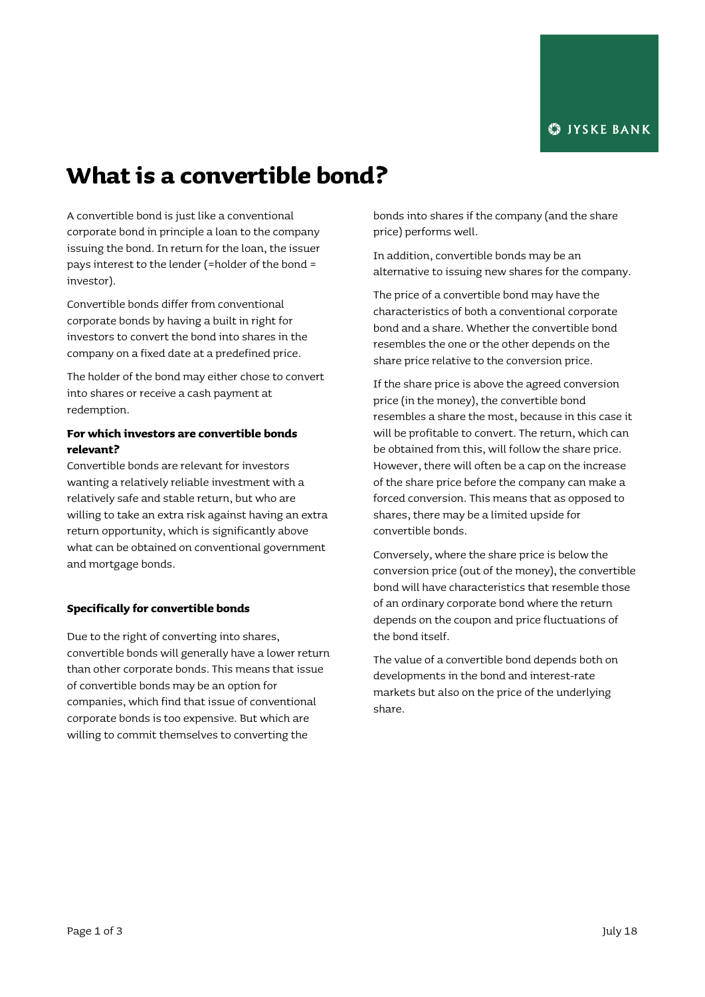# **What is a convertible bond?**

A convertible bond is just like a conventional corporate bond in principle a loan to the company issuing the bond. In return for the loan, the issuer pays interest to the lender (=holder of the bond = investor).

Convertible bonds differ from conventional corporate bonds by having a built in right for investors to convert the bond into shares in the company on a fixed date at a predefined price.

The holder of the bond may either chose to convert into shares or receive a cash payment at redemption.

# **For which investors are convertible bonds relevant?**

Convertible bonds are relevant for investors wanting a relatively reliable investment with a relatively safe and stable return, but who are willing to take an extra risk against having an extra return opportunity, which is significantly above what can be obtained on conventional government and mortgage bonds.

# **Specifically for convertible bonds**

Due to the right of converting into shares, convertible bonds will generally have a lower return than other corporate bonds. This means that issue of convertible bonds may be an option for companies, which find that issue of conventional corporate bonds is too expensive. But which are willing to commit themselves to converting the

bonds into shares if the company (and the share price) performs well.

In addition, convertible bonds may be an alternative to issuing new shares for the company.

The price of a convertible bond may have the characteristics of both a conventional corporate bond and a share. Whether the convertible bond resembles the one or the other depends on the share price relative to the conversion price.

If the share price is above the agreed conversion price (in the money), the convertible bond resembles a share the most, because in this case it will be profitable to convert. The return, which can be obtained from this, will follow the share price. However, there will often be a cap on the increase of the share price before the company can make a forced conversion. This means that as opposed to shares, there may be a limited upside for convertible bonds.

Conversely, where the share price is below the conversion price (out of the money), the convertible bond will have characteristics that resemble those of an ordinary corporate bond where the return depends on the coupon and price fluctuations of the bond itself.

The value of a convertible bond depends both on developments in the bond and interest-rate markets but also on the price of the underlying share.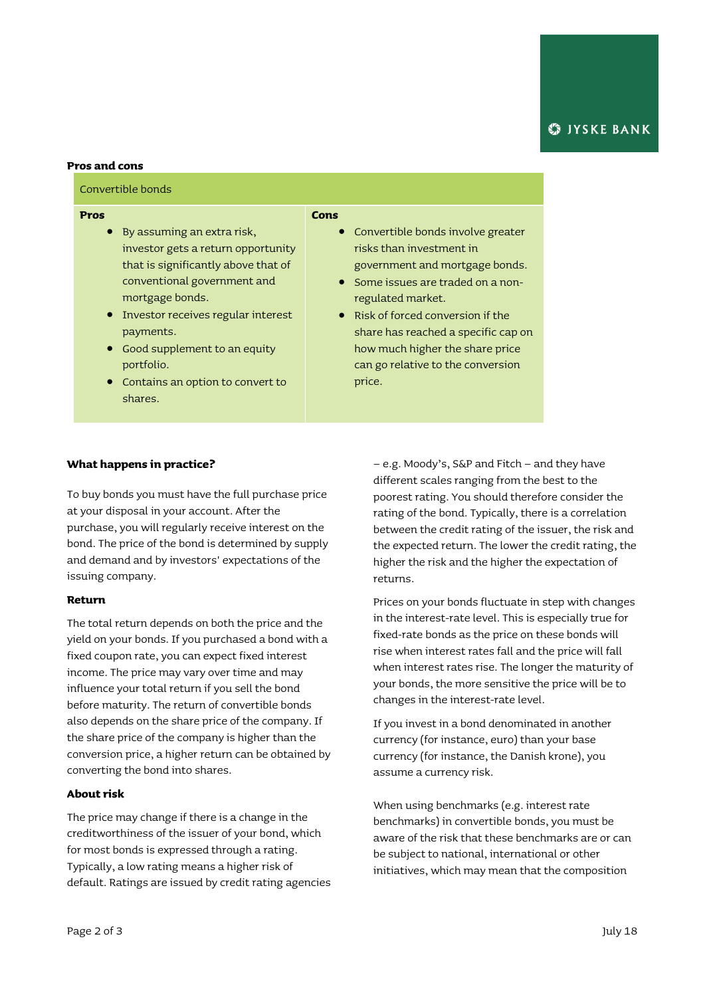## **Pros and cons**

## Convertible bonds

#### **Pros**

- By assuming an extra risk, investor gets a return opportunity that is significantly above that of conventional government and mortgage bonds.
- **•** Investor receives regular interest payments.
- Good supplement to an equity portfolio.
- Contains an option to convert to shares.

#### **Cons**

- Convertible bonds involve greater risks than investment in government and mortgage bonds.
- **Some issues are traded on a non**regulated market.
- Risk of forced conversion if the share has reached a specific cap on how much higher the share price can go relative to the conversion price.

### **What happens in practice?**

To buy bonds you must have the full purchase price at your disposal in your account. After the purchase, you will regularly receive interest on the bond. The price of the bond is determined by supply and demand and by investors' expectations of the issuing company.

# **Return**

The total return depends on both the price and the yield on your bonds. If you purchased a bond with a fixed coupon rate, you can expect fixed interest income. The price may vary over time and may influence your total return if you sell the bond before maturity. The return of convertible bonds also depends on the share price of the company. If the share price of the company is higher than the conversion price, a higher return can be obtained by converting the bond into shares.

## **About risk**

The price may change if there is a change in the creditworthiness of the issuer of your bond, which for most bonds is expressed through a rating. Typically, a low rating means a higher risk of default. Ratings are issued by credit rating agencies

– e.g. Moody's, S&P and Fitch – and they have different scales ranging from the best to the poorest rating. You should therefore consider the rating of the bond. Typically, there is a correlation between the credit rating of the issuer, the risk and the expected return. The lower the credit rating, the higher the risk and the higher the expectation of returns.

Prices on your bonds fluctuate in step with changes in the interest-rate level. This is especially true for fixed-rate bonds as the price on these bonds will rise when interest rates fall and the price will fall when interest rates rise. The longer the maturity of your bonds, the more sensitive the price will be to changes in the interest-rate level.

If you invest in a bond denominated in another currency (for instance, euro) than your base currency (for instance, the Danish krone), you assume a currency risk.

When using benchmarks (e.g. interest rate benchmarks) in convertible bonds, you must be aware of the risk that these benchmarks are or can be subject to national, international or other initiatives, which may mean that the composition